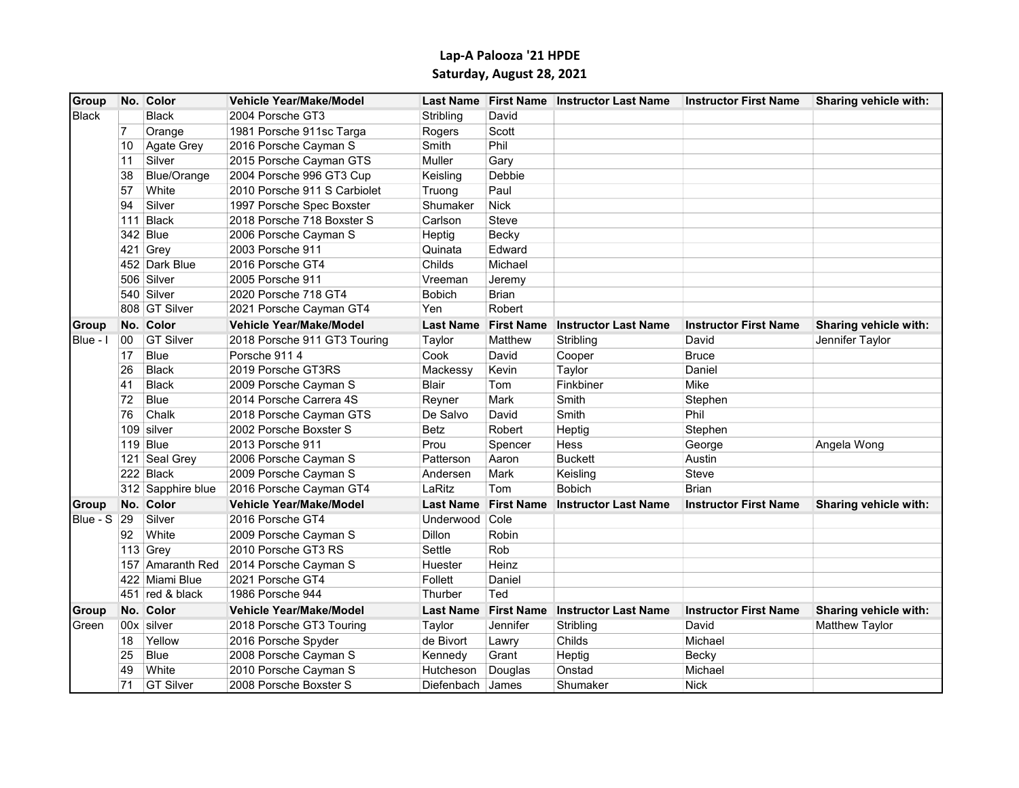## Lap-A Palooza '21 HPDE Saturday, August 28, 2021

| Group              |     | No. Color          | <b>Vehicle Year/Make/Model</b> |                  |                   | Last Name First Name Instructor Last Name | <b>Instructor First Name</b> | Sharing vehicle with: |
|--------------------|-----|--------------------|--------------------------------|------------------|-------------------|-------------------------------------------|------------------------------|-----------------------|
| <b>Black</b>       |     | <b>Black</b>       | 2004 Porsche GT3               | Stribling        | David             |                                           |                              |                       |
|                    |     | Orange             | 1981 Porsche 911sc Targa       | Rogers           | Scott             |                                           |                              |                       |
|                    | 10  | Agate Grey         | 2016 Porsche Cayman S          | Smith            | Phil              |                                           |                              |                       |
|                    | 11  | Silver             | 2015 Porsche Cayman GTS        | Muller           | Gary              |                                           |                              |                       |
|                    | 38  | <b>Blue/Orange</b> | 2004 Porsche 996 GT3 Cup       | Keisling         | Debbie            |                                           |                              |                       |
|                    | 57  | White              | 2010 Porsche 911 S Carbiolet   | Truong           | Paul              |                                           |                              |                       |
|                    | 94  | Silver             | 1997 Porsche Spec Boxster      | Shumaker         | <b>Nick</b>       |                                           |                              |                       |
|                    | 111 | Black              | 2018 Porsche 718 Boxster S     | Carlson          | Steve             |                                           |                              |                       |
|                    | 342 | Blue               | 2006 Porsche Cayman S          | Heptig           | Becky             |                                           |                              |                       |
|                    | 421 | Grey               | 2003 Porsche 911               | Quinata          | Edward            |                                           |                              |                       |
|                    |     | 452 Dark Blue      | 2016 Porsche GT4               | Childs           | Michael           |                                           |                              |                       |
|                    |     | 506 Silver         | 2005 Porsche 911               | Vreeman          | Jeremy            |                                           |                              |                       |
|                    |     | 540 Silver         | 2020 Porsche 718 GT4           | <b>Bobich</b>    | <b>Brian</b>      |                                           |                              |                       |
|                    |     | 808 GT Silver      | 2021 Porsche Cayman GT4        | Yen              | Robert            |                                           |                              |                       |
| <b>Group</b>       |     | No. Color          | Vehicle Year/Make/Model        | <b>Last Name</b> | <b>First Name</b> | <b>Instructor Last Name</b>               | <b>Instructor First Name</b> | Sharing vehicle with: |
| IBlue - I          | 00  | <b>GT Silver</b>   | 2018 Porsche 911 GT3 Touring   | Taylor           | Matthew           | Stribling                                 | David                        | Jennifer Taylor       |
|                    | 17  | <b>Blue</b>        | Porsche 9114                   | Cook             | David             | Cooper                                    | <b>Bruce</b>                 |                       |
|                    | 26  | <b>Black</b>       | 2019 Porsche GT3RS             | Mackessy         | Kevin             | Taylor                                    | Daniel                       |                       |
|                    | 41  | <b>Black</b>       | 2009 Porsche Cayman S          | Blair            | Tom               | Finkbiner                                 | Mike                         |                       |
|                    | 72  | <b>Blue</b>        | 2014 Porsche Carrera 4S        | Reyner           | Mark              | Smith                                     | Stephen                      |                       |
|                    | 76  | Chalk              | 2018 Porsche Cayman GTS        | De Salvo         | David             | Smith                                     | Phil                         |                       |
|                    |     | $109$ silver       | 2002 Porsche Boxster S         | Betz             | Robert            | Heptig                                    | Stephen                      |                       |
|                    |     | 119 Blue           | 2013 Porsche 911               | Prou             | Spencer           | Hess                                      | George                       | Angela Wong           |
|                    | 121 | Seal Grey          | 2006 Porsche Cayman S          | Patterson        | Aaron             | <b>Buckett</b>                            | Austin                       |                       |
|                    |     | 222 Black          | 2009 Porsche Cayman S          | Andersen         | Mark              | Keisling                                  | Steve                        |                       |
|                    |     | 312 Sapphire blue  | 2016 Porsche Cayman GT4        | LaRitz           | Tom               | <b>Bobich</b>                             | <b>Brian</b>                 |                       |
| <b>Group</b>       |     | No. Color          | Vehicle Year/Make/Model        | <b>Last Name</b> | <b>First Name</b> | <b>Instructor Last Name</b>               | <b>Instructor First Name</b> | Sharing vehicle with: |
| <b>Blue - S 29</b> |     | Silver             | 2016 Porsche GT4               | Underwood Cole   |                   |                                           |                              |                       |
|                    | 92  | White              | 2009 Porsche Cayman S          | Dillon           | Robin             |                                           |                              |                       |
|                    |     | 113 Grey           | 2010 Porsche GT3 RS            | Settle           | Rob               |                                           |                              |                       |
|                    |     | 157 Amaranth Red   | 2014 Porsche Cayman S          | Huester          | Heinz             |                                           |                              |                       |
|                    |     | 422 Miami Blue     | 2021 Porsche GT4               | Follett          | Daniel            |                                           |                              |                       |
|                    |     | 451 $red & black$  | 1986 Porsche 944               | Thurber          | Ted               |                                           |                              |                       |
| <b>Group</b>       |     | No. Color          | <b>Vehicle Year/Make/Model</b> | <b>Last Name</b> | <b>First Name</b> | <b>Instructor Last Name</b>               | <b>Instructor First Name</b> | Sharing vehicle with: |
| Green              |     | 00x silver         | 2018 Porsche GT3 Touring       | Taylor           | Jennifer          | Stribling                                 | David                        | Matthew Taylor        |
|                    | 18  | Yellow             | 2016 Porsche Spyder            | de Bivort        | Lawry             | Childs                                    | Michael                      |                       |
|                    | 25  | Blue               | 2008 Porsche Cayman S          | Kennedy          | Grant             | Heptig                                    | Becky                        |                       |
|                    | 49  | White              | 2010 Porsche Cayman S          | Hutcheson        | Douglas           | Onstad                                    | Michael                      |                       |
|                    | 71  | <b>GT Silver</b>   | 2008 Porsche Boxster S         | Diefenbach       | <b>James</b>      | Shumaker                                  | <b>Nick</b>                  |                       |